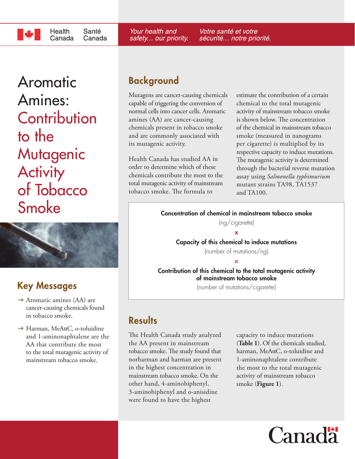Health Santé Canada Canada

Aromatic Amines: **Contribution** to the **Mutagenic Activity** of Tobacco Smoke



# Key Messages

- $\rightarrow$  Aromatic amines (AA) are cancer-causing chemicals found in tobacco smoke.
- $\rightarrow$  Harman, MeAαC, o-toluidine and 1-aminonaphtalene are the AA that contribute the most to the total mutagenic activity of mainstream tobacco smoke.

## Background

Your health and

safety... our priority.

Mutagens are cancer-causing chemicals capable of triggering the conversion of normal cells into cancer cells. Aromatic amines (AA) are cancer-causing chemicals present in tobacco smoke and are commonly associated with its mutagenic activity.

Health Canada has studied AA in order to determine which of these chemicals contribute the most to the total mutagenic activity of mainstream tobacco smoke. The formula to

estimate the contribution of a certain chemical to the total mutagenic activity of mainstream tobacco smoke is shown below. The concentration of the chemical in mainstream tobacco smoke (measured in nanograms per cigarette) is multiplied by its respective capacity to induce mutations. The mutagenic activity is determined through the bacterial reverse mutation assay using *Salmonella typhimurium* mutant strains TA98, TA1537 and TA100.

Concentration of chemical in mainstream tobacco smoke

Votre santé et votre

sécurité... notre priorité.

(ng/cigarette)

x Capacity of this chemical to induce mutations

(number of mutations/ng) =

Contribution of this chemical to the total mutagenic activity of mainstream tobacco smoke

(number of mutations/cigarette)

### **Results**

The Health Canada study analyzed the AA present in mainstream tobacco smoke. The study found that norharman and harman are present in the highest concentration in mainstream tobacco smoke. On the other hand, 4-aminobiphenyl, 3-aminobiphenyl and o-anisidine were found to have the highest

capacity to induce mutations (**Table 1**). Of the chemicals studied, harman, MeAαC, o-toluidine and 1-aminonaphtalene contribute the most to the total mutagenic activity of mainstream tobacco smoke (**Figure 1**).